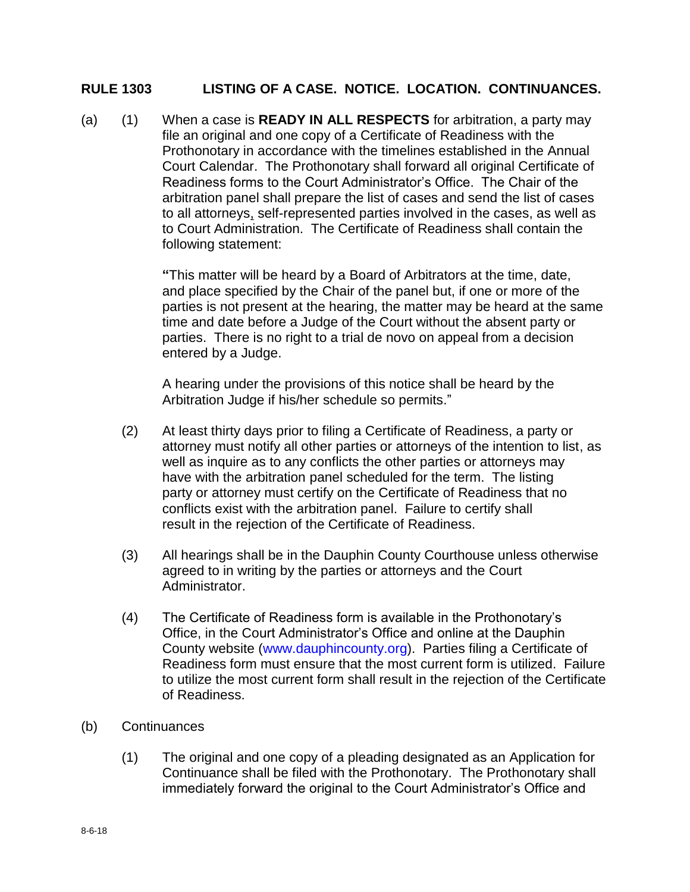## **RULE 1303 LISTING OF A CASE. NOTICE. LOCATION. CONTINUANCES.**

(a) (1) When a case is **READY IN ALL RESPECTS** for arbitration, a party may file an original and one copy of a Certificate of Readiness with the Prothonotary in accordance with the timelines established in the Annual Court Calendar. The Prothonotary shall forward all original Certificate of Readiness forms to the Court Administrator's Office. The Chair of the arbitration panel shall prepare the list of cases and send the list of cases to all attorneys, self-represented parties involved in the cases, as well as to Court Administration. The Certificate of Readiness shall contain the following statement:

> **"**This matter will be heard by a Board of Arbitrators at the time, date, and place specified by the Chair of the panel but, if one or more of the parties is not present at the hearing, the matter may be heard at the same time and date before a Judge of the Court without the absent party or parties. There is no right to a trial de novo on appeal from a decision entered by a Judge.

A hearing under the provisions of this notice shall be heard by the Arbitration Judge if his/her schedule so permits."

- (2) At least thirty days prior to filing a Certificate of Readiness, a party or attorney must notify all other parties or attorneys of the intention to list, as well as inquire as to any conflicts the other parties or attorneys may have with the arbitration panel scheduled for the term. The listing party or attorney must certify on the Certificate of Readiness that no conflicts exist with the arbitration panel. Failure to certify shall result in the rejection of the Certificate of Readiness.
- (3) All hearings shall be in the Dauphin County Courthouse unless otherwise agreed to in writing by the parties or attorneys and the Court Administrator.
- (4) The Certificate of Readiness form is available in the Prothonotary's Office, in the Court Administrator's Office and online at the Dauphin County website [\(www.dauphincounty.org\)](http://www.dauphincounty.org/). Parties filing a Certificate of Readiness form must ensure that the most current form is utilized. Failure to utilize the most current form shall result in the rejection of the Certificate of Readiness.
- (b) Continuances
	- (1) The original and one copy of a pleading designated as an Application for Continuance shall be filed with the Prothonotary. The Prothonotary shall immediately forward the original to the Court Administrator's Office and